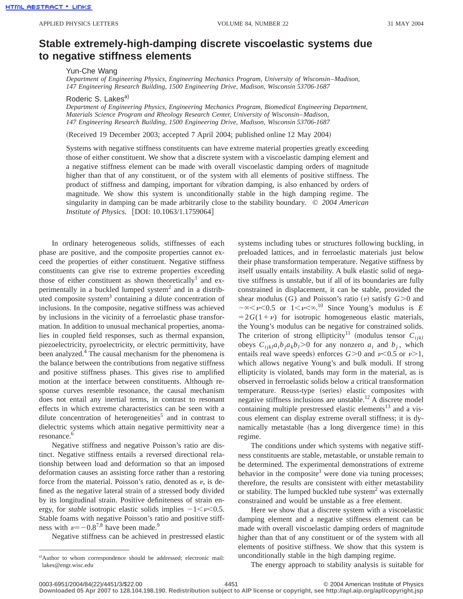## **Stable extremely-high-damping discrete viscoelastic systems due to negative stiffness elements**

Yun-Che Wang

*Department of Engineering Physics, Engineering Mechanics Program, University of Wisconsin*–*Madison, 147 Engineering Research Building, 1500 Engineering Drive, Madison, Wisconsin 53706-1687*

Roderic S. Lakes<sup>a)</sup>

*Department of Engineering Physics, Engineering Mechanics Program, Biomedical Engineering Department, Materials Science Program and Rheology Research Center, University of Wisconsin*–*Madison, 147 Engineering Research Building, 1500 Engineering Drive, Madison, Wisconsin 53706-1687*

(Received 19 December 2003; accepted 7 April 2004; published online 12 May 2004)

Systems with negative stiffness constituents can have extreme material properties greatly exceeding those of either constituent. We show that a discrete system with a viscoelastic damping element and a negative stiffness element can be made with overall viscoelastic damping orders of magnitude higher than that of any constituent, or of the system with all elements of positive stiffness. The product of stiffness and damping, important for vibration damping, is also enhanced by orders of magnitude. We show this system is unconditionally stable in the high damping regime. The singularity in damping can be made arbitrarily close to the stability boundary. © *2004 American Institute of Physics.* [DOI: 10.1063/1.1759064]

In ordinary heterogeneous solids, stiffnesses of each phase are positive, and the composite properties cannot exceed the properties of either constituent. Negative stiffness constituents can give rise to extreme properties exceeding those of either constituent as shown theoretically<sup>1</sup> and experimentally in a buckled lumped system<sup>2</sup> and in a distributed composite system $3$  containing a dilute concentration of inclusions. In the composite, negative stiffness was achieved by inclusions in the vicinity of a ferroelastic phase transformation. In addition to unusual mechanical properties, anomalies in coupled field responses, such as thermal expansion, piezoelectricity, pyroelectricity, or electric permittivity, have been analyzed.<sup>4</sup> The causal mechanism for the phenomena is the balance between the contributions from negative stiffness and positive stiffness phases. This gives rise to amplified motion at the interface between constituents. Although response curves resemble resonance, the causal mechanism does not entail any inertial terms, in contrast to resonant effects in which extreme characteristics can be seen with a dilute concentration of heterogeneities<sup>5</sup> and in contrast to dielectric systems which attain negative permittivity near a resonance.<sup>6</sup>

Negative stiffness and negative Poisson's ratio are distinct. Negative stiffness entails a reversed directional relationship between load and deformation so that an imposed deformation causes an assisting force rather than a restoring force from the material. Poisson's ratio, denoted as  $\nu$ , is defined as the negative lateral strain of a stressed body divided by its longitudinal strain. Positive definiteness of strain energy, for *stable* isotropic elastic solids implies  $-1 < v < 0.5$ . Stable foams with negative Poisson's ratio and positive stiffness with  $\nu=-0.8^{7,8}$  have been made.<sup>9</sup>

Negative stiffness can be achieved in prestressed elastic

systems including tubes or structures following buckling, in preloaded lattices, and in ferroelastic materials just below their phase transformation temperature. Negative stiffness by itself usually entails instability. A bulk elastic solid of negative stiffness is unstable, but if all of its boundaries are fully constrained in displacement, it can be stable, provided the shear modulus (*G*) and Poisson's ratio ( $\nu$ ) satisfy *G*>0 and  $-\infty < \nu < 0.5$  or  $1 < \nu < \infty$ .<sup>10</sup> Since Young's modulus is *E*  $=2G(1+\nu)$  for isotropic homogeneous elastic materials, the Young's modulus can be negative for constrained solids. The criterion of strong ellipticity<sup>11</sup> (modulus tensor  $C_{ijkl}$ obeys  $C_{iikl}a_ib_ja_kb_l>0$  for any nonzero  $a_i$  and  $b_j$ , which entails real wave speeds) enforces  $G>0$  and  $\nu<0.5$  or  $\nu>1$ , which allows negative Young's and bulk moduli. If strong ellipticity is violated, bands may form in the material, as is observed in ferroelastic solids below a critical transformation temperature. Reuss-type (series) elastic composites with negative stiffness inclusions are unstable.<sup>12</sup> A discrete model containing multiple prestressed elastic elements $^{13}$  and a viscous element can display extreme overall stiffness; it is dynamically metastable (has a long divergence time) in this regime.

The conditions under which systems with negative stiffness constituents are stable, metastable, or unstable remain to be determined. The experimental demonstrations of extreme behavior in the composite<sup>3</sup> were done via tuning processes; therefore, the results are consistent with either metastability or stability. The lumped buckled tube system<sup>2</sup> was externally constrained and would be unstable as a free element.

Here we show that a discrete system with a viscoelastic damping element and a negative stiffness element can be made with overall viscoelastic damping orders of magnitude higher than that of any constituent or of the system with all elements of positive stiffness. We show that this system is unconditionally stable in the high damping regime.

The energy approach to stability analysis is suitable for

a)Author to whom correspondence should be addressed; electronic mail: lakes@engr.wisc.edu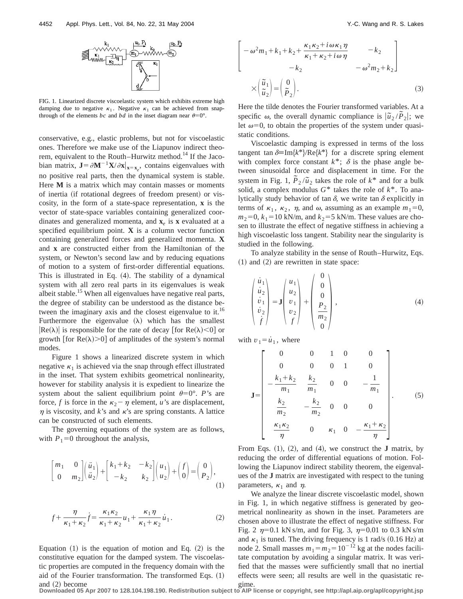

FIG. 1. Linearized discrete viscoelastic system which exhibits extreme high damping due to negative  $\kappa_1$ . Negative  $\kappa_1$  can be achieved from snapthrough of the elements *bc* and *bd* in the inset diagram near  $\theta=0^{\circ}$ .

conservative, e.g., elastic problems, but not for viscoelastic ones. Therefore we make use of the Liapunov indirect theorem, equivalent to the Routh–Hurwitz method.<sup>14</sup> If the Jacobian matrix,  $\mathbf{J} = \partial \mathbf{M}^{-1} \mathbf{X} / \partial \mathbf{x} |_{\mathbf{x} = \mathbf{x}_e}$ , contains eigenvalues with no positive real parts, then the dynamical system is stable. Here **M** is a matrix which may contain masses or moments of inertia (if rotational degrees of freedom present) or viscosity, in the form of a state-space representation, **x** is the vector of state-space variables containing generalized coordinates and generalized momenta, and  $\mathbf{x}_e$  is  $\mathbf{x}$  evaluated at a specified equilibrium point. **X** is a column vector function containing generalized forces and generalized momenta. **X** and **x** are constructed either from the Hamiltonian of the system, or Newton's second law and by reducing equations of motion to a system of first-order differential equations. This is illustrated in Eq.  $(4)$ . The stability of a dynamical system with all zero real parts in its eigenvalues is weak albeit stable.<sup>15</sup> When all eigenvalues have negative real parts, the degree of stability can be understood as the distance between the imaginary axis and the closest eigenvalue to it.<sup>16</sup> Furthermore the eigenvalue  $(\lambda)$  which has the smallest  $|Re(\lambda)|$  is responsible for the rate of decay [for Re( $\lambda$ )<0] or growth [for Re( $\lambda$ )>0] of amplitudes of the system's normal modes.

Figure 1 shows a linearized discrete system in which negative  $\kappa_1$  is achieved via the snap through effect illustrated in the inset. That system exhibits geometrical nonlinearity, however for stability analysis it is expedient to linearize the system about the salient equilibrium point  $\theta=0^\circ$ . *P*'s are force, *f* is force in the  $\kappa_2 - \eta$  element, *u*'s are displacement,  $\eta$  is viscosity, and *k*'s and *k*'s are spring constants. A lattice can be constructed of such elements.

The governing equations of the system are as follows, with  $P_1=0$  throughout the analysis,

$$
\begin{bmatrix} m_1 & 0 \\ 0 & m_2 \end{bmatrix} \begin{pmatrix} \ddot{u}_1 \\ \ddot{u}_2 \end{pmatrix} + \begin{bmatrix} k_1 + k_2 & -k_2 \\ -k_2 & k_2 \end{bmatrix} \begin{pmatrix} u_1 \\ u_2 \end{pmatrix} + \begin{pmatrix} f \\ 0 \end{pmatrix} = \begin{pmatrix} 0 \\ P_2 \end{pmatrix},\tag{1}
$$

$$
f + \frac{\eta}{\kappa_1 + \kappa_2} \dot{f} = \frac{\kappa_1 \kappa_2}{\kappa_1 + \kappa_2} u_1 + \frac{\kappa_1 \eta}{\kappa_1 + \kappa_2} \dot{u}_1.
$$
 (2)

Equation  $(1)$  is the equation of motion and Eq.  $(2)$  is the constitutive equation for the damped system. The viscoelastic properties are computed in the frequency domain with the aid of the Fourier transformation. The transformed Eqs.  $(1)$ and  $(2)$  become

$$
\begin{bmatrix}\n-\omega^2 m_1 + k_1 + k_2 + \frac{\kappa_1 \kappa_2 + i \omega \kappa_1 \eta}{\kappa_1 + \kappa_2 + i \omega \eta} & -k_2 \\
-k_2 & -\omega^2 m_2 + k_2\n\end{bmatrix}
$$
\n
$$
\times \begin{pmatrix} \tilde{u}_1 \\ \tilde{u}_2 \end{pmatrix} = \begin{pmatrix} 0 \\ \tilde{P}_2 \end{pmatrix}.
$$
\n(3)

Here the tilde denotes the Fourier transformed variables. At a specific  $\omega$ , the overall dynamic compliance is  $|\tilde{u}_2/\tilde{P}_2|$ ; we let  $\omega=0$ , to obtain the properties of the system under quasistatic conditions.

Viscoelastic damping is expressed in terms of the loss tangent tan  $\delta = \text{Im}\{k^*\} / \text{Re}\{k^*\}$  for a discrete spring element with complex force constant  $k^*$ ;  $\delta$  is the phase angle between sinusoidal force and displacement in time. For the system in Fig. 1,  $\tilde{P}_2/\tilde{u}_2$  takes the role of  $k^*$  and for a bulk solid, a complex modulus *G*\* takes the role of *k*\*. To analytically study behavior of tan  $\delta$ , we write tan  $\delta$  explicitly in terms of  $\kappa_1$ ,  $\kappa_2$ ,  $\eta$ , and  $\omega$ , assuming as an example  $m_1=0$ ,  $m_2=0$ ,  $k_1=10$  kN/m, and  $k_2=5$  kN/m. These values are chosen to illustrate the effect of negative stiffness in achieving a high viscoelastic loss tangent. Stability near the singularity is studied in the following.

To analyze stability in the sense of Routh–Hurwitz, Eqs.  $(1)$  and  $(2)$  are rewritten in state space:

 $\sqrt{2}$ 

$$
\begin{pmatrix} \dot{u}_1 \\ \dot{u}_2 \\ \dot{v}_1 \\ \dot{v}_2 \\ \dot{f} \end{pmatrix} = \mathbf{J} \begin{pmatrix} u_1 \\ u_2 \\ v_1 \\ v_2 \\ f \end{pmatrix} + \begin{pmatrix} 0 \\ 0 \\ 0 \\ \frac{P_2}{m_2} \\ 0 \end{pmatrix}, \tag{4}
$$

with  $v_1 = \dot{u}_1$ , where

$$
\mathbf{J} = \begin{bmatrix} 0 & 0 & 1 & 0 & 0 \\ 0 & 0 & 0 & 1 & 0 \\ -\frac{k_1 + k_2}{m_1} & \frac{k_2}{m_1} & 0 & 0 & -\frac{1}{m_1} \\ \frac{k_2}{m_2} & -\frac{k_2}{m_2} & 0 & 0 & 0 \\ \frac{\kappa_1 \kappa_2}{\eta} & 0 & \kappa_1 & 0 & -\frac{\kappa_1 + \kappa_2}{\eta} \end{bmatrix} . \tag{5}
$$

From Eqs.  $(1)$ ,  $(2)$ , and  $(4)$ , we construct the **J** matrix, by reducing the order of differential equations of motion. Following the Liapunov indirect stability theorem, the eigenvalues of the **J** matrix are investigated with respect to the tuning parameters,  $\kappa_1$  and  $\eta$ .

We analyze the linear discrete viscoelastic model, shown in Fig. 1, in which negative stiffness is generated by geometrical nonlinearity as shown in the inset. Parameters are chosen above to illustrate the effect of negative stiffness. For Fig. 2  $\eta$ =0.1 kN s/m, and for Fig. 3,  $\eta$ =0.01 to 0.3 kN s/m and  $\kappa_1$  is tuned. The driving frequency is 1 rad/s (0.16 Hz) at node 2. Small masses  $m_1 = m_2 = 10^{-12}$  kg at the nodes facilitate computation by avoiding a singular matrix. It was verified that the masses were sufficiently small that no inertial effects were seen; all results are well in the quasistatic regime.

**Downloaded 05 Apr 2007 to 128.104.198.190. Redistribution subject to AIP license or copyright, see http://apl.aip.org/apl/copyright.jsp**